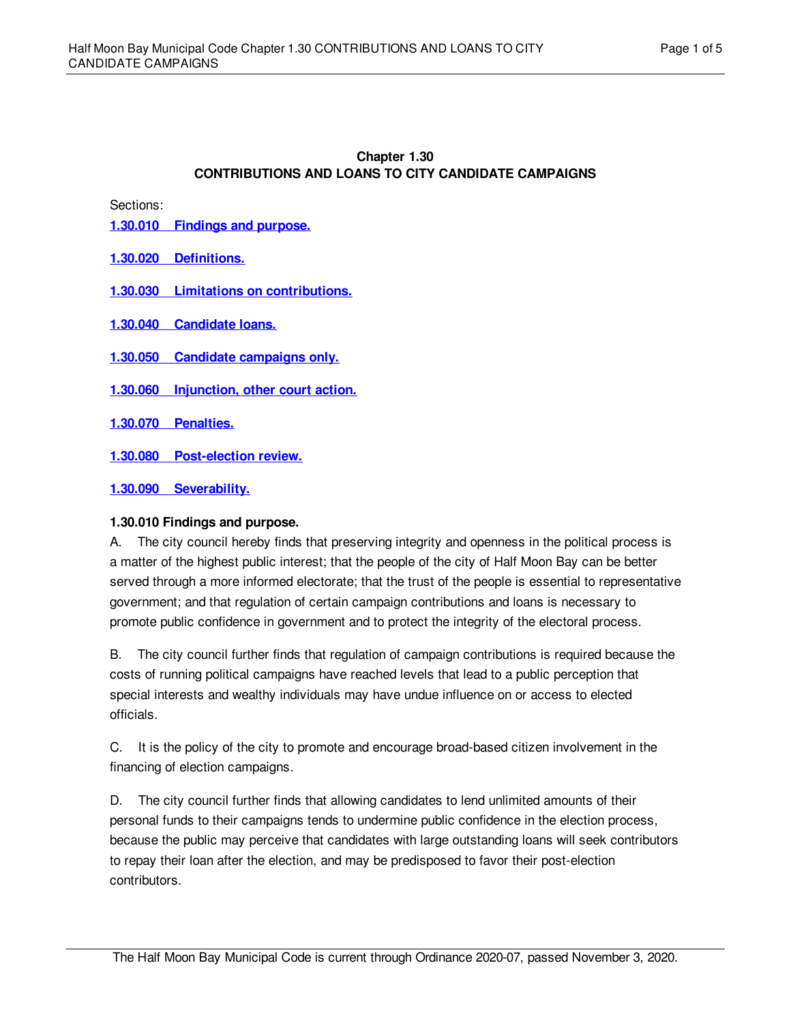# **Chapter 1.30 CONTRIBUTIONS AND LOANS TO CITY CANDIDATE CAMPAIGNS**

Sections:

**1.30.010 [Findings](#page-0-0) and purpose.**

### **1.30.020 [Definitions.](#page-1-0)**

- **1.30.030 Limitations on [contributions.](#page-1-1)**
- **1.30.040 [Candidate](#page-3-0) loans.**
- **1.30.050 Candidate [campaigns](#page-3-1) only.**
- **1.30.060 [Injunction,](#page-3-2) other court action.**
- **1.30.070 [Penalties.](#page-3-3)**
- **1.30.080 [Post-election](#page-3-4) review.**

### **1.30.090 [Severability.](#page-4-0)**

#### <span id="page-0-0"></span>**1.30.010 Findings and purpose.**

A. The city council hereby finds that preserving integrity and openness in the political process is a matter of the highest public interest; that the people of the city of Half Moon Bay can be better served through a more informed electorate; that the trust of the people is essential to representative government; and that regulation of certain campaign contributions and loans is necessary to promote public confidence in government and to protect the integrity of the electoral process.

B. The city council further finds that regulation of campaign contributions is required because the costs of running political campaigns have reached levels that lead to a public perception that special interests and wealthy individuals may have undue influence on or access to elected officials.

C. It is the policy of the city to promote and encourage broad-based citizen involvement in the financing of election campaigns.

D. The city council further finds that allowing candidates to lend unlimited amounts of their personal funds to their campaigns tends to undermine public confidence in the election process, because the public may perceive that candidates with large outstanding loans will seek contributors to repay their loan after the election, and may be predisposed to favor their post-election contributors.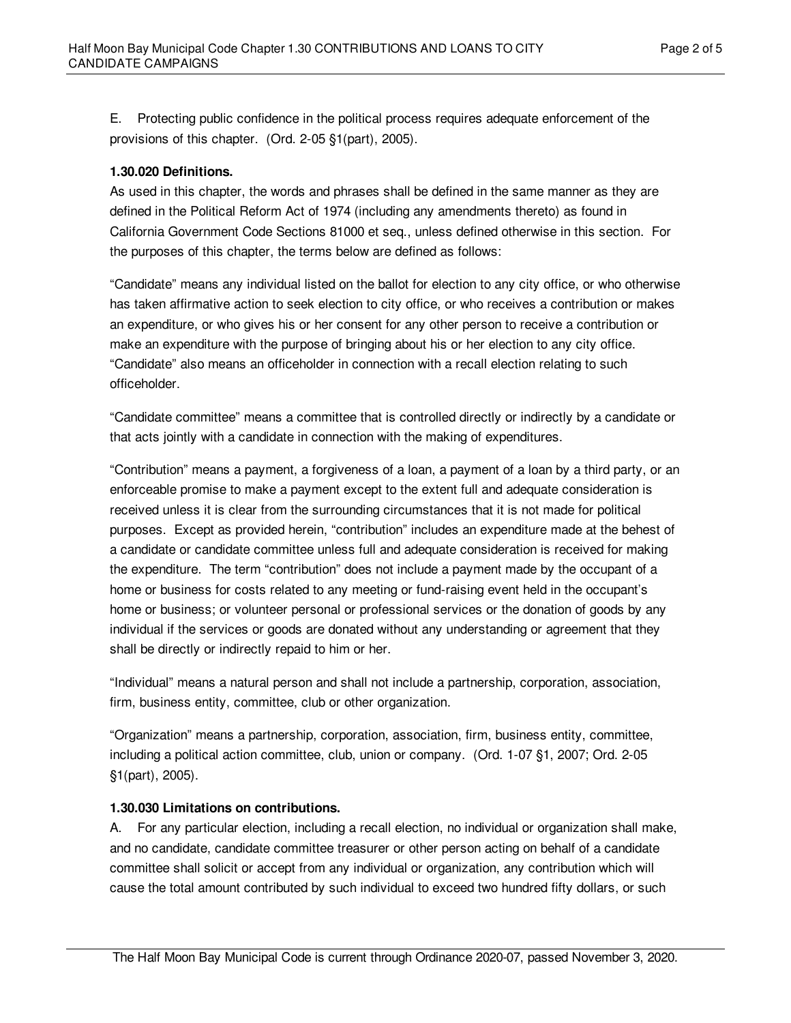E. Protecting public confidence in the political process requires adequate enforcement of the provisions of this chapter. (Ord. 2-05 §1(part), 2005).

### <span id="page-1-0"></span>**1.30.020 Definitions.**

As used in this chapter, the words and phrases shall be defined in the same manner as they are defined in the Political Reform Act of 1974 (including any amendments thereto) as found in California Government Code Sections 81000 et seq., unless defined otherwise in this section. For the purposes of this chapter, the terms below are defined as follows:

"Candidate" means any individual listed on the ballot for election to any city office, or who otherwise has taken affirmative action to seek election to city office, or who receives a contribution or makes an expenditure, or who gives his or her consent for any other person to receive a contribution or make an expenditure with the purpose of bringing about his or her election to any city office. "Candidate" also means an officeholder in connection with a recall election relating to such officeholder.

"Candidate committee" means a committee that is controlled directly or indirectly by a candidate or that acts jointly with a candidate in connection with the making of expenditures.

"Contribution" means a payment, a forgiveness of a loan, a payment of a loan by a third party, or an enforceable promise to make a payment except to the extent full and adequate consideration is received unless it is clear from the surrounding circumstances that it is not made for political purposes. Except as provided herein, "contribution" includes an expenditure made at the behest of a candidate or candidate committee unless full and adequate consideration is received for making the expenditure. The term "contribution" does not include a payment made by the occupant of a home or business for costs related to any meeting or fund-raising event held in the occupant's home or business; or volunteer personal or professional services or the donation of goods by any individual if the services or goods are donated without any understanding or agreement that they shall be directly or indirectly repaid to him or her.

"Individual" means a natural person and shall not include a partnership, corporation, association, firm, business entity, committee, club or other organization.

"Organization" means a partnership, corporation, association, firm, business entity, committee, including a political action committee, club, union or company. (Ord. 1-07 §1, 2007; Ord. 2-05 §1(part), 2005).

#### <span id="page-1-1"></span>**1.30.030 Limitations on contributions.**

A. For any particular election, including a recall election, no individual or organization shall make, and no candidate, candidate committee treasurer or other person acting on behalf of a candidate committee shall solicit or accept from any individual or organization, any contribution which will cause the total amount contributed by such individual to exceed two hundred fifty dollars, or such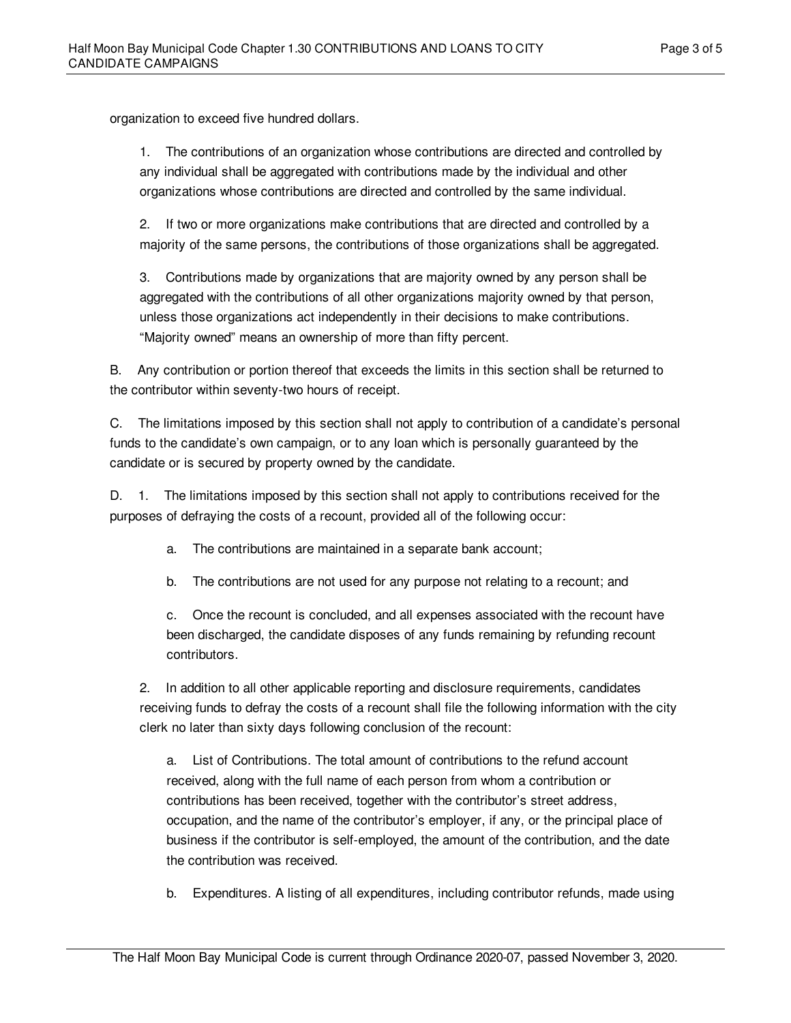organization to exceed five hundred dollars.

1. The contributions of an organization whose contributions are directed and controlled by any individual shall be aggregated with contributions made by the individual and other organizations whose contributions are directed and controlled by the same individual.

2. If two or more organizations make contributions that are directed and controlled by a majority of the same persons, the contributions of those organizations shall be aggregated.

3. Contributions made by organizations that are majority owned by any person shall be aggregated with the contributions of all other organizations majority owned by that person, unless those organizations act independently in their decisions to make contributions. "Majority owned" means an ownership of more than fifty percent.

B. Any contribution or portion thereof that exceeds the limits in this section shall be returned to the contributor within seventy-two hours of receipt.

C. The limitations imposed by this section shall not apply to contribution of a candidate's personal funds to the candidate's own campaign, or to any loan which is personally guaranteed by the candidate or is secured by property owned by the candidate.

D. 1. The limitations imposed by this section shall not apply to contributions received for the purposes of defraying the costs of a recount, provided all of the following occur:

a. The contributions are maintained in a separate bank account;

b. The contributions are not used for any purpose not relating to a recount; and

c. Once the recount is concluded, and all expenses associated with the recount have been discharged, the candidate disposes of any funds remaining by refunding recount contributors.

2. In addition to all other applicable reporting and disclosure requirements, candidates receiving funds to defray the costs of a recount shall file the following information with the city clerk no later than sixty days following conclusion of the recount:

a. List of Contributions. The total amount of contributions to the refund account received, along with the full name of each person from whom a contribution or contributions has been received, together with the contributor's street address, occupation, and the name of the contributor's employer, if any, or the principal place of business if the contributor is self-employed, the amount of the contribution, and the date the contribution was received.

b. Expenditures. A listing of all expenditures, including contributor refunds, made using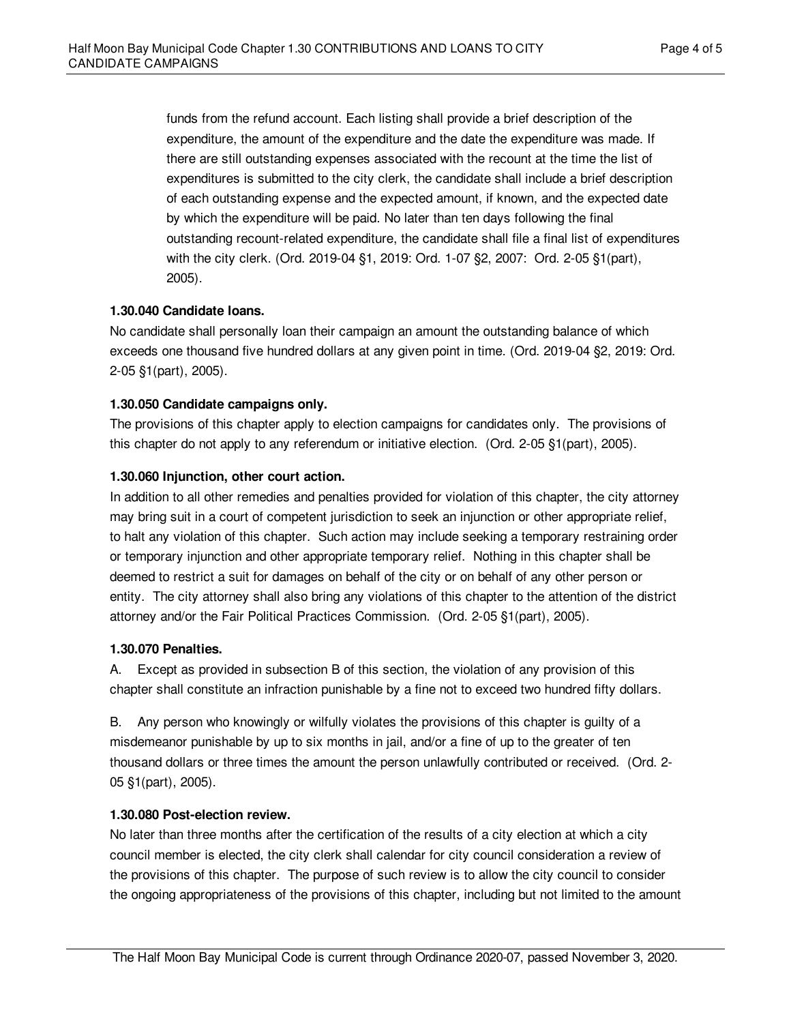funds from the refund account. Each listing shall provide a brief description of the expenditure, the amount of the expenditure and the date the expenditure was made. If there are still outstanding expenses associated with the recount at the time the list of expenditures is submitted to the city clerk, the candidate shall include a brief description of each outstanding expense and the expected amount, if known, and the expected date by which the expenditure will be paid. No later than ten days following the final outstanding recount-related expenditure, the candidate shall file a final list of expenditures with the city clerk. (Ord. 2019-04 §1, 2019: Ord. 1-07 §2, 2007: Ord. 2-05 §1(part), 2005).

### <span id="page-3-0"></span>**1.30.040 Candidate loans.**

No candidate shall personally loan their campaign an amount the outstanding balance of which exceeds one thousand five hundred dollars at any given point in time. (Ord. 2019-04 §2, 2019: Ord. 2-05 §1(part), 2005).

### <span id="page-3-1"></span>**1.30.050 Candidate campaigns only.**

The provisions of this chapter apply to election campaigns for candidates only. The provisions of this chapter do not apply to any referendum or initiative election. (Ord. 2-05 §1(part), 2005).

# <span id="page-3-2"></span>**1.30.060 Injunction, other court action.**

In addition to all other remedies and penalties provided for violation of this chapter, the city attorney may bring suit in a court of competent jurisdiction to seek an injunction or other appropriate relief, to halt any violation of this chapter. Such action may include seeking a temporary restraining order or temporary injunction and other appropriate temporary relief. Nothing in this chapter shall be deemed to restrict a suit for damages on behalf of the city or on behalf of any other person or entity. The city attorney shall also bring any violations of this chapter to the attention of the district attorney and/or the Fair Political Practices Commission. (Ord. 2-05 §1(part), 2005).

#### <span id="page-3-3"></span>**1.30.070 Penalties.**

A. Except as provided in subsection B of this section, the violation of any provision of this chapter shall constitute an infraction punishable by a fine not to exceed two hundred fifty dollars.

B. Any person who knowingly or wilfully violates the provisions of this chapter is guilty of a misdemeanor punishable by up to six months in jail, and/or a fine of up to the greater of ten thousand dollars or three times the amount the person unlawfully contributed or received. (Ord. 2- 05 §1(part), 2005).

#### <span id="page-3-4"></span>**1.30.080 Post-election review.**

No later than three months after the certification of the results of a city election at which a city council member is elected, the city clerk shall calendar for city council consideration a review of the provisions of this chapter. The purpose of such review is to allow the city council to consider the ongoing appropriateness of the provisions of this chapter, including but not limited to the amount